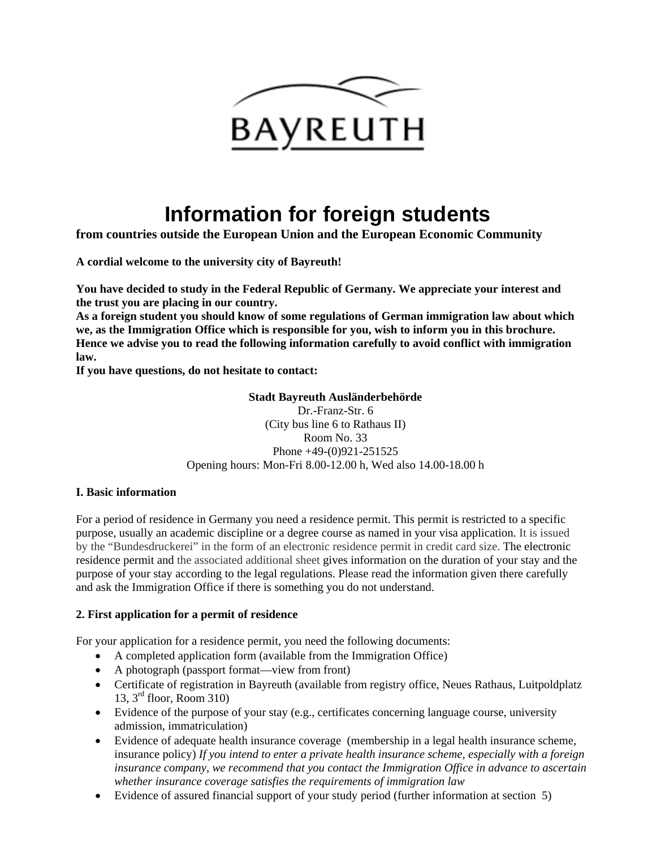

# **Information for foreign students**

**from countries outside the European Union and the European Economic Community** 

**A cordial welcome to the university city of Bayreuth!** 

**You have decided to study in the Federal Republic of Germany. We appreciate your interest and the trust you are placing in our country.** 

**As a foreign student you should know of some regulations of German immigration law about which we, as the Immigration Office which is responsible for you, wish to inform you in this brochure. Hence we advise you to read the following information carefully to avoid conflict with immigration law.** 

**If you have questions, do not hesitate to contact:** 

#### **Stadt Bayreuth Ausländerbehörde**

Dr.-Franz-Str. 6 (City bus line 6 to Rathaus II) Room No. 33 Phone +49-(0)921-251525 Opening hours: Mon-Fri 8.00-12.00 h, Wed also 14.00-18.00 h

### **I. Basic information**

For a period of residence in Germany you need a residence permit. This permit is restricted to a specific purpose, usually an academic discipline or a degree course as named in your visa application. It is issued by the "Bundesdruckerei" in the form of an electronic residence permit in credit card size. The electronic residence permit and the associated additional sheet gives information on the duration of your stay and the purpose of your stay according to the legal regulations. Please read the information given there carefully and ask the Immigration Office if there is something you do not understand.

### **2. First application for a permit of residence**

For your application for a residence permit, you need the following documents:

- A completed application form (available from the Immigration Office)
- A photograph (passport format—view from front)
- Certificate of registration in Bayreuth (available from registry office, Neues Rathaus, Luitpoldplatz 13, 3rd floor, Room 310)
- Evidence of the purpose of your stay (e.g., certificates concerning language course, university admission, immatriculation)
- Evidence of adequate health insurance coverage (membership in a legal health insurance scheme, insurance policy) *If you intend to enter a private health insurance scheme, especially with a foreign insurance company, we recommend that you contact the Immigration Office in advance to ascertain whether insurance coverage satisfies the requirements of immigration law*
- Evidence of assured financial support of your study period (further information at section 5)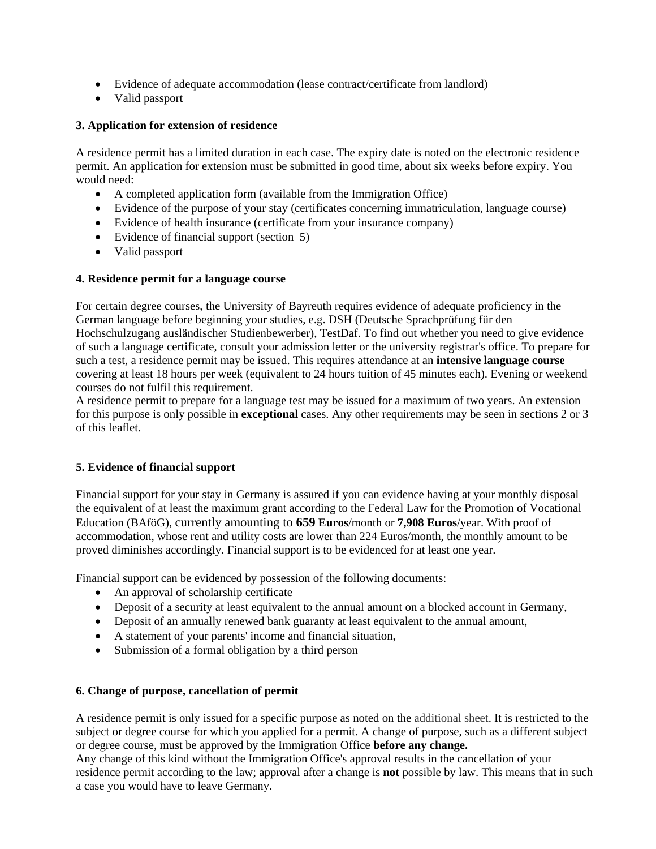- Evidence of adequate accommodation (lease contract/certificate from landlord)
- Valid passport

## **3. Application for extension of residence**

A residence permit has a limited duration in each case. The expiry date is noted on the electronic residence permit. An application for extension must be submitted in good time, about six weeks before expiry. You would need:

- A completed application form (available from the Immigration Office)
- Evidence of the purpose of your stay (certificates concerning immatriculation, language course)
- Evidence of health insurance (certificate from your insurance company)
- Evidence of financial support (section 5)
- Valid passport

### **4. Residence permit for a language course**

For certain degree courses, the University of Bayreuth requires evidence of adequate proficiency in the German language before beginning your studies, e.g. DSH (Deutsche Sprachprüfung für den Hochschulzugang ausländischer Studienbewerber), TestDaf. To find out whether you need to give evidence of such a language certificate, consult your admission letter or the university registrar's office. To prepare for such a test, a residence permit may be issued. This requires attendance at an **intensive language course** covering at least 18 hours per week (equivalent to 24 hours tuition of 45 minutes each). Evening or weekend courses do not fulfil this requirement.

A residence permit to prepare for a language test may be issued for a maximum of two years. An extension for this purpose is only possible in **exceptional** cases. Any other requirements may be seen in sections 2 or 3 of this leaflet.

### **5. Evidence of financial support**

Financial support for your stay in Germany is assured if you can evidence having at your monthly disposal the equivalent of at least the maximum grant according to the Federal Law for the Promotion of Vocational Education (BAföG), currently amounting to **659 Euros**/month or **7,908 Euros**/year. With proof of accommodation, whose rent and utility costs are lower than 224 Euros/month, the monthly amount to be proved diminishes accordingly. Financial support is to be evidenced for at least one year.

Financial support can be evidenced by possession of the following documents:

- An approval of scholarship certificate
- Deposit of a security at least equivalent to the annual amount on a blocked account in Germany,
- Deposit of an annually renewed bank guaranty at least equivalent to the annual amount,
- A statement of your parents' income and financial situation,
- Submission of a formal obligation by a third person

### **6. Change of purpose, cancellation of permit**

A residence permit is only issued for a specific purpose as noted on the additional sheet. It is restricted to the subject or degree course for which you applied for a permit. A change of purpose, such as a different subject or degree course, must be approved by the Immigration Office **before any change.** 

Any change of this kind without the Immigration Office's approval results in the cancellation of your residence permit according to the law; approval after a change is **not** possible by law. This means that in such a case you would have to leave Germany.